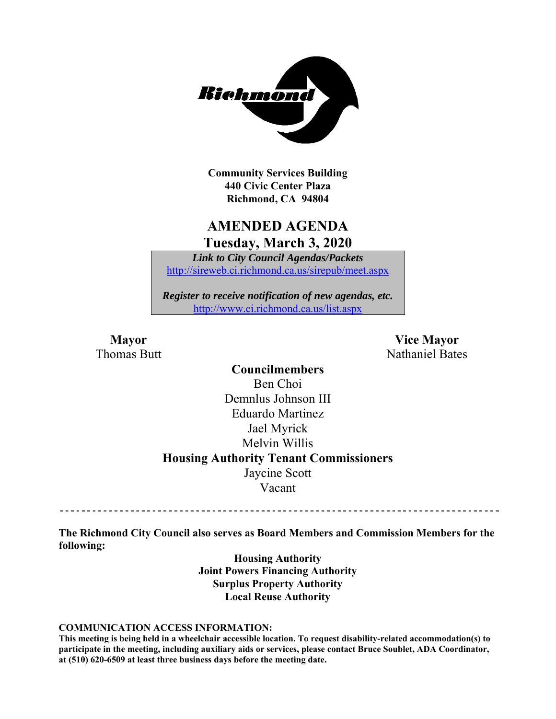

**Community Services Building 440 Civic Center Plaza Richmond, CA 94804** 

### **AMENDED AGENDA Tuesday, March 3, 2020**

*Link to City Council Agendas/Packets*  http://sireweb.ci.richmond.ca.us/sirepub/meet.aspx

*Register to receive notification of new agendas, etc.*  http://www.ci.richmond.ca.us/list.aspx

**Mayor** Vice Mayor Thomas Butt **Nathaniel Bates** Nathaniel Bates

> **Councilmembers**  Ben Choi Demnlus Johnson III Eduardo Martinez Jael Myrick Melvin Willis **Housing Authority Tenant Commissioners**  Jaycine Scott Vacant

**The Richmond City Council also serves as Board Members and Commission Members for the following:** 

> **Housing Authority Joint Powers Financing Authority Surplus Property Authority Local Reuse Authority**

#### **COMMUNICATION ACCESS INFORMATION:**

**This meeting is being held in a wheelchair accessible location. To request disability-related accommodation(s) to participate in the meeting, including auxiliary aids or services, please contact Bruce Soublet, ADA Coordinator, at (510) 620-6509 at least three business days before the meeting date.**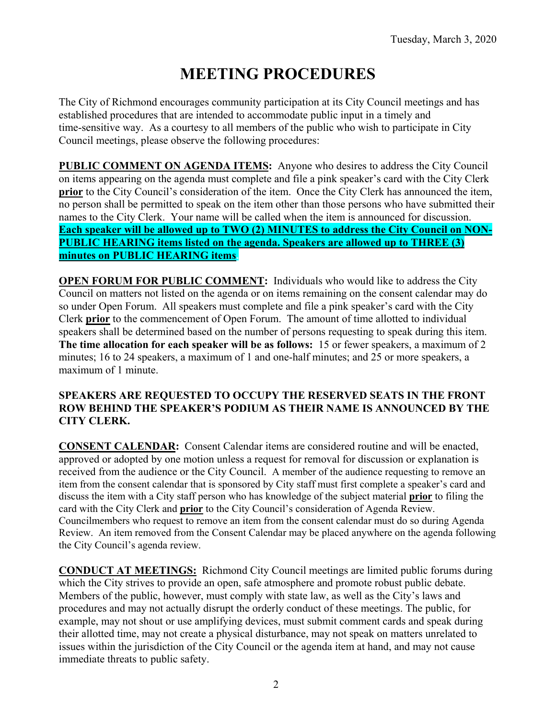# **MEETING PROCEDURES**

The City of Richmond encourages community participation at its City Council meetings and has established procedures that are intended to accommodate public input in a timely and time-sensitive way. As a courtesy to all members of the public who wish to participate in City Council meetings, please observe the following procedures:

**PUBLIC COMMENT ON AGENDA ITEMS:** Anyone who desires to address the City Council on items appearing on the agenda must complete and file a pink speaker's card with the City Clerk **prior** to the City Council's consideration of the item. Once the City Clerk has announced the item, no person shall be permitted to speak on the item other than those persons who have submitted their names to the City Clerk. Your name will be called when the item is announced for discussion. **Each speaker will be allowed up to TWO (2) MINUTES to address the City Council on NON-PUBLIC HEARING items listed on the agenda. Speakers are allowed up to THREE (3) minutes on PUBLIC HEARING items.** 

**OPEN FORUM FOR PUBLIC COMMENT:** Individuals who would like to address the City Council on matters not listed on the agenda or on items remaining on the consent calendar may do so under Open Forum. All speakers must complete and file a pink speaker's card with the City Clerk **prior** to the commencement of Open Forum. The amount of time allotted to individual speakers shall be determined based on the number of persons requesting to speak during this item. **The time allocation for each speaker will be as follows:** 15 or fewer speakers, a maximum of 2 minutes; 16 to 24 speakers, a maximum of 1 and one-half minutes; and 25 or more speakers, a maximum of 1 minute.

#### **SPEAKERS ARE REQUESTED TO OCCUPY THE RESERVED SEATS IN THE FRONT ROW BEHIND THE SPEAKER'S PODIUM AS THEIR NAME IS ANNOUNCED BY THE CITY CLERK.**

**CONSENT CALENDAR:** Consent Calendar items are considered routine and will be enacted, approved or adopted by one motion unless a request for removal for discussion or explanation is received from the audience or the City Council. A member of the audience requesting to remove an item from the consent calendar that is sponsored by City staff must first complete a speaker's card and discuss the item with a City staff person who has knowledge of the subject material **prior** to filing the card with the City Clerk and **prior** to the City Council's consideration of Agenda Review. Councilmembers who request to remove an item from the consent calendar must do so during Agenda Review. An item removed from the Consent Calendar may be placed anywhere on the agenda following the City Council's agenda review.

**CONDUCT AT MEETINGS:** Richmond City Council meetings are limited public forums during which the City strives to provide an open, safe atmosphere and promote robust public debate. Members of the public, however, must comply with state law, as well as the City's laws and procedures and may not actually disrupt the orderly conduct of these meetings. The public, for example, may not shout or use amplifying devices, must submit comment cards and speak during their allotted time, may not create a physical disturbance, may not speak on matters unrelated to issues within the jurisdiction of the City Council or the agenda item at hand, and may not cause immediate threats to public safety.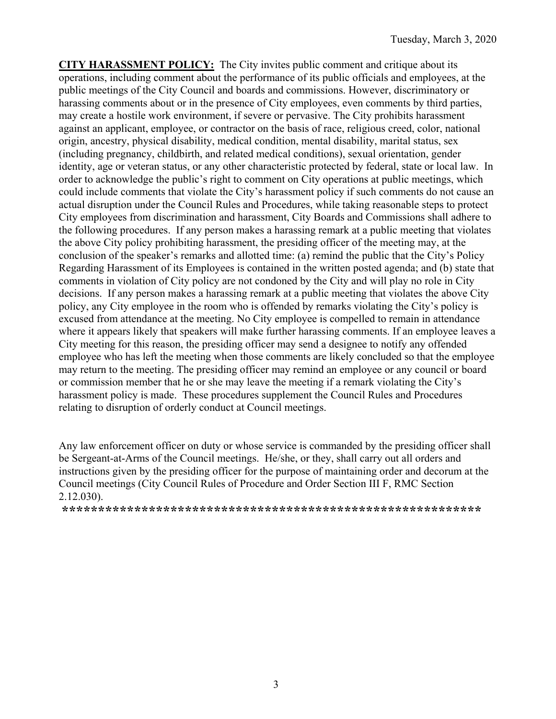**CITY HARASSMENT POLICY:** The City invites public comment and critique about its operations, including comment about the performance of its public officials and employees, at the public meetings of the City Council and boards and commissions. However, discriminatory or harassing comments about or in the presence of City employees, even comments by third parties, may create a hostile work environment, if severe or pervasive. The City prohibits harassment against an applicant, employee, or contractor on the basis of race, religious creed, color, national origin, ancestry, physical disability, medical condition, mental disability, marital status, sex (including pregnancy, childbirth, and related medical conditions), sexual orientation, gender identity, age or veteran status, or any other characteristic protected by federal, state or local law. In order to acknowledge the public's right to comment on City operations at public meetings, which could include comments that violate the City's harassment policy if such comments do not cause an actual disruption under the Council Rules and Procedures, while taking reasonable steps to protect City employees from discrimination and harassment, City Boards and Commissions shall adhere to the following procedures. If any person makes a harassing remark at a public meeting that violates the above City policy prohibiting harassment, the presiding officer of the meeting may, at the conclusion of the speaker's remarks and allotted time: (a) remind the public that the City's Policy Regarding Harassment of its Employees is contained in the written posted agenda; and (b) state that comments in violation of City policy are not condoned by the City and will play no role in City decisions. If any person makes a harassing remark at a public meeting that violates the above City policy, any City employee in the room who is offended by remarks violating the City's policy is excused from attendance at the meeting. No City employee is compelled to remain in attendance where it appears likely that speakers will make further harassing comments. If an employee leaves a City meeting for this reason, the presiding officer may send a designee to notify any offended employee who has left the meeting when those comments are likely concluded so that the employee may return to the meeting. The presiding officer may remind an employee or any council or board or commission member that he or she may leave the meeting if a remark violating the City's harassment policy is made. These procedures supplement the Council Rules and Procedures relating to disruption of orderly conduct at Council meetings.

Any law enforcement officer on duty or whose service is commanded by the presiding officer shall be Sergeant-at-Arms of the Council meetings. He/she, or they, shall carry out all orders and instructions given by the presiding officer for the purpose of maintaining order and decorum at the Council meetings (City Council Rules of Procedure and Order Section III F, RMC Section 2.12.030).

**\*\*\*\*\*\*\*\*\*\*\*\*\*\*\*\*\*\*\*\*\*\*\*\*\*\*\*\*\*\*\*\*\*\*\*\*\*\*\*\*\*\*\*\*\*\*\*\*\*\*\*\*\*\*\*\*\*\***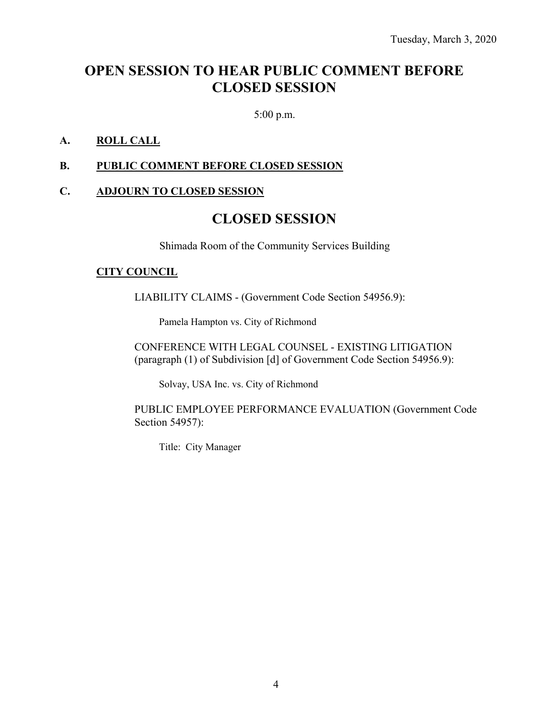### **OPEN SESSION TO HEAR PUBLIC COMMENT BEFORE CLOSED SESSION**

5:00 p.m.

#### **A. ROLL CALL**

#### **B. PUBLIC COMMENT BEFORE CLOSED SESSION**

#### **C. ADJOURN TO CLOSED SESSION**

### **CLOSED SESSION**

Shimada Room of the Community Services Building

#### **CITY COUNCIL**

LIABILITY CLAIMS - (Government Code Section 54956.9):

Pamela Hampton vs. City of Richmond

CONFERENCE WITH LEGAL COUNSEL - EXISTING LITIGATION (paragraph (1) of Subdivision [d] of Government Code Section 54956.9):

Solvay, USA Inc. vs. City of Richmond

PUBLIC EMPLOYEE PERFORMANCE EVALUATION (Government Code Section 54957):

Title: City Manager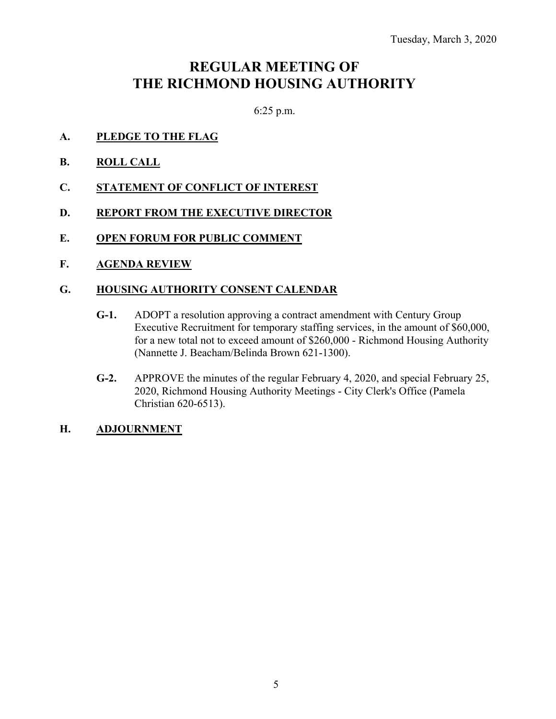## **REGULAR MEETING OF THE RICHMOND HOUSING AUTHORITY**

6:25 p.m.

- **A. PLEDGE TO THE FLAG**
- **B. ROLL CALL**
- **C. STATEMENT OF CONFLICT OF INTEREST**
- **D. REPORT FROM THE EXECUTIVE DIRECTOR**
- **E. OPEN FORUM FOR PUBLIC COMMENT**
- **F. AGENDA REVIEW**

#### **G. HOUSING AUTHORITY CONSENT CALENDAR**

- **G-1.** ADOPT a resolution approving a contract amendment with Century Group Executive Recruitment for temporary staffing services, in the amount of \$60,000, for a new total not to exceed amount of \$260,000 - Richmond Housing Authority (Nannette J. Beacham/Belinda Brown 621-1300).
- **G-2.** APPROVE the minutes of the regular February 4, 2020, and special February 25, 2020, Richmond Housing Authority Meetings - City Clerk's Office (Pamela Christian 620-6513).

#### **H. ADJOURNMENT**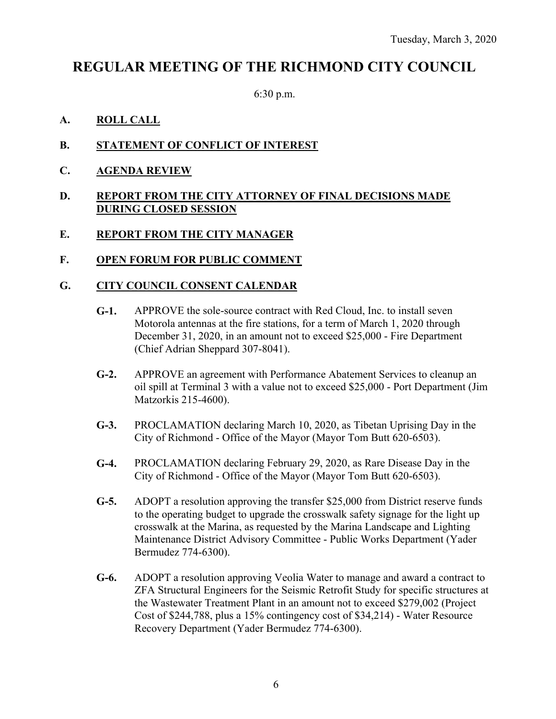### **REGULAR MEETING OF THE RICHMOND CITY COUNCIL**

6:30 p.m.

### **A. ROLL CALL**

- **B. STATEMENT OF CONFLICT OF INTEREST**
- **C. AGENDA REVIEW**

#### **D. REPORT FROM THE CITY ATTORNEY OF FINAL DECISIONS MADE DURING CLOSED SESSION**

#### **E. REPORT FROM THE CITY MANAGER**

**F. OPEN FORUM FOR PUBLIC COMMENT** 

#### **G. CITY COUNCIL CONSENT CALENDAR**

- **G-1.** APPROVE the sole-source contract with Red Cloud, Inc. to install seven Motorola antennas at the fire stations, for a term of March 1, 2020 through December 31, 2020, in an amount not to exceed \$25,000 - Fire Department (Chief Adrian Sheppard 307-8041).
- **G-2.** APPROVE an agreement with Performance Abatement Services to cleanup an oil spill at Terminal 3 with a value not to exceed \$25,000 - Port Department (Jim Matzorkis 215-4600).
- **G-3.** PROCLAMATION declaring March 10, 2020, as Tibetan Uprising Day in the City of Richmond - Office of the Mayor (Mayor Tom Butt 620-6503).
- **G-4.** PROCLAMATION declaring February 29, 2020, as Rare Disease Day in the City of Richmond - Office of the Mayor (Mayor Tom Butt 620-6503).
- **G-5.** ADOPT a resolution approving the transfer \$25,000 from District reserve funds to the operating budget to upgrade the crosswalk safety signage for the light up crosswalk at the Marina, as requested by the Marina Landscape and Lighting Maintenance District Advisory Committee - Public Works Department (Yader Bermudez 774-6300).
- **G-6.** ADOPT a resolution approving Veolia Water to manage and award a contract to ZFA Structural Engineers for the Seismic Retrofit Study for specific structures at the Wastewater Treatment Plant in an amount not to exceed \$279,002 (Project Cost of \$244,788, plus a 15% contingency cost of \$34,214) - Water Resource Recovery Department (Yader Bermudez 774-6300).